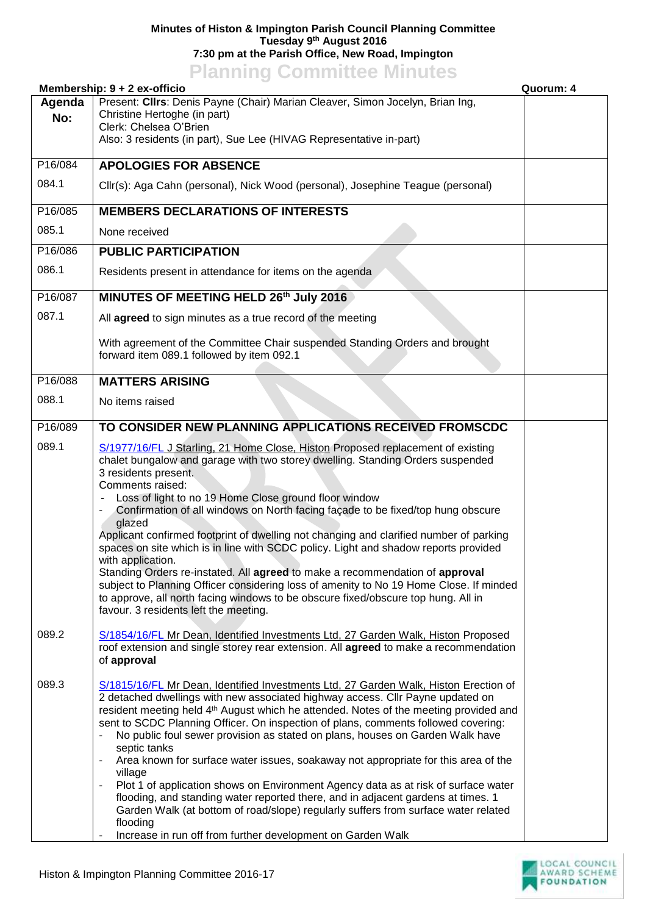## **Minutes of Histon & Impington Parish Council Planning Committee Tuesday 9 th August 2016 7:30 pm at the Parish Office, New Road, Impington**

## **Planning Committee Minutes**

| Membership: 9 + 2 ex-officio |                                                                                                                                                                                                                                                                                                                                                                                                                                                                                                                                                                                                                                                                                                                                                                                                                                                                                                                | Quorum: 4 |
|------------------------------|----------------------------------------------------------------------------------------------------------------------------------------------------------------------------------------------------------------------------------------------------------------------------------------------------------------------------------------------------------------------------------------------------------------------------------------------------------------------------------------------------------------------------------------------------------------------------------------------------------------------------------------------------------------------------------------------------------------------------------------------------------------------------------------------------------------------------------------------------------------------------------------------------------------|-----------|
| Agenda<br>No:                | Present: Clirs: Denis Payne (Chair) Marian Cleaver, Simon Jocelyn, Brian Ing,<br>Christine Hertoghe (in part)<br>Clerk: Chelsea O'Brien<br>Also: 3 residents (in part), Sue Lee (HIVAG Representative in-part)                                                                                                                                                                                                                                                                                                                                                                                                                                                                                                                                                                                                                                                                                                 |           |
| P16/084                      | <b>APOLOGIES FOR ABSENCE</b>                                                                                                                                                                                                                                                                                                                                                                                                                                                                                                                                                                                                                                                                                                                                                                                                                                                                                   |           |
| 084.1                        | Cllr(s): Aga Cahn (personal), Nick Wood (personal), Josephine Teague (personal)                                                                                                                                                                                                                                                                                                                                                                                                                                                                                                                                                                                                                                                                                                                                                                                                                                |           |
| P16/085                      | <b>MEMBERS DECLARATIONS OF INTERESTS</b>                                                                                                                                                                                                                                                                                                                                                                                                                                                                                                                                                                                                                                                                                                                                                                                                                                                                       |           |
| 085.1                        | None received                                                                                                                                                                                                                                                                                                                                                                                                                                                                                                                                                                                                                                                                                                                                                                                                                                                                                                  |           |
| P16/086                      | <b>PUBLIC PARTICIPATION</b>                                                                                                                                                                                                                                                                                                                                                                                                                                                                                                                                                                                                                                                                                                                                                                                                                                                                                    |           |
| 086.1                        | Residents present in attendance for items on the agenda                                                                                                                                                                                                                                                                                                                                                                                                                                                                                                                                                                                                                                                                                                                                                                                                                                                        |           |
| P16/087                      | MINUTES OF MEETING HELD 26th July 2016                                                                                                                                                                                                                                                                                                                                                                                                                                                                                                                                                                                                                                                                                                                                                                                                                                                                         |           |
| 087.1                        | All agreed to sign minutes as a true record of the meeting                                                                                                                                                                                                                                                                                                                                                                                                                                                                                                                                                                                                                                                                                                                                                                                                                                                     |           |
|                              | With agreement of the Committee Chair suspended Standing Orders and brought<br>forward item 089.1 followed by item 092.1                                                                                                                                                                                                                                                                                                                                                                                                                                                                                                                                                                                                                                                                                                                                                                                       |           |
| P16/088                      | <b>MATTERS ARISING</b>                                                                                                                                                                                                                                                                                                                                                                                                                                                                                                                                                                                                                                                                                                                                                                                                                                                                                         |           |
| 088.1                        | No items raised                                                                                                                                                                                                                                                                                                                                                                                                                                                                                                                                                                                                                                                                                                                                                                                                                                                                                                |           |
| P16/089                      | TO CONSIDER NEW PLANNING APPLICATIONS RECEIVED FROMSCDC                                                                                                                                                                                                                                                                                                                                                                                                                                                                                                                                                                                                                                                                                                                                                                                                                                                        |           |
| 089.1                        | S/1977/16/FL J Starling, 21 Home Close, Histon Proposed replacement of existing<br>chalet bungalow and garage with two storey dwelling. Standing Orders suspended<br>3 residents present.<br>Comments raised:<br>Loss of light to no 19 Home Close ground floor window<br>Confirmation of all windows on North facing facade to be fixed/top hung obscure<br>glazed<br>Applicant confirmed footprint of dwelling not changing and clarified number of parking<br>spaces on site which is in line with SCDC policy. Light and shadow reports provided<br>with application.<br>Standing Orders re-instated. All agreed to make a recommendation of approval<br>subject to Planning Officer considering loss of amenity to No 19 Home Close. If minded<br>to approve, all north facing windows to be obscure fixed/obscure top hung. All in<br>favour. 3 residents left the meeting.                              |           |
| 089.2                        | S/1854/16/FL Mr Dean, Identified Investments Ltd, 27 Garden Walk, Histon Proposed<br>roof extension and single storey rear extension. All agreed to make a recommendation<br>of approval                                                                                                                                                                                                                                                                                                                                                                                                                                                                                                                                                                                                                                                                                                                       |           |
| 089.3                        | S/1815/16/FL Mr Dean, Identified Investments Ltd, 27 Garden Walk, Histon Erection of<br>2 detached dwellings with new associated highway access. Cllr Payne updated on<br>resident meeting held 4 <sup>th</sup> August which he attended. Notes of the meeting provided and<br>sent to SCDC Planning Officer. On inspection of plans, comments followed covering:<br>No public foul sewer provision as stated on plans, houses on Garden Walk have<br>septic tanks<br>Area known for surface water issues, soakaway not appropriate for this area of the<br>village<br>Plot 1 of application shows on Environment Agency data as at risk of surface water<br>flooding, and standing water reported there, and in adjacent gardens at times. 1<br>Garden Walk (at bottom of road/slope) regularly suffers from surface water related<br>flooding<br>Increase in run off from further development on Garden Walk |           |

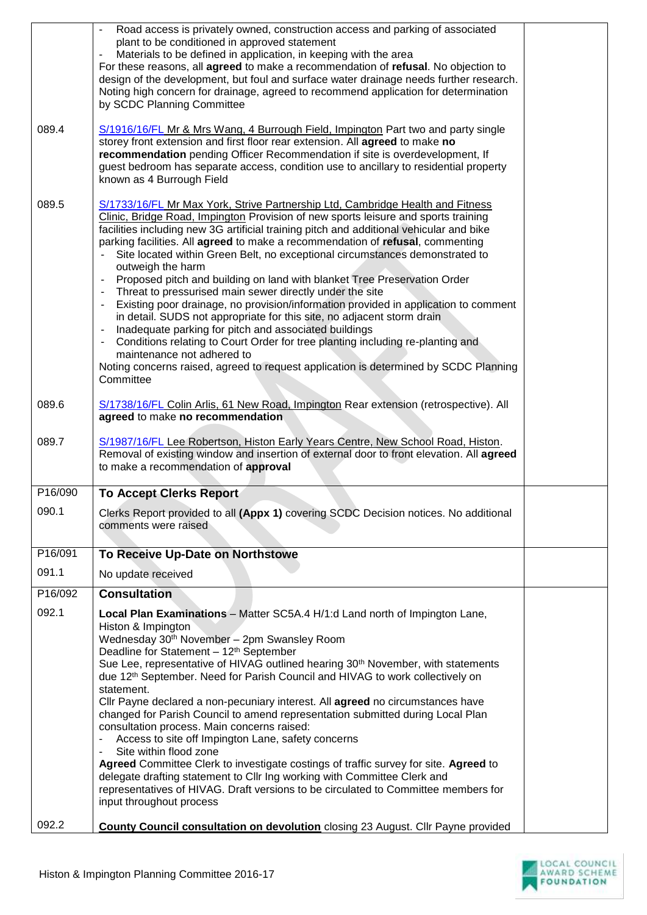|         | Road access is privately owned, construction access and parking of associated<br>plant to be conditioned in approved statement<br>Materials to be defined in application, in keeping with the area<br>$\blacksquare$<br>For these reasons, all <b>agreed</b> to make a recommendation of refusal. No objection to<br>design of the development, but foul and surface water drainage needs further research.<br>Noting high concern for drainage, agreed to recommend application for determination<br>by SCDC Planning Committee                                                                                                                                                                                                                                                                                                                                                                                                                                                                                                                                          |  |
|---------|---------------------------------------------------------------------------------------------------------------------------------------------------------------------------------------------------------------------------------------------------------------------------------------------------------------------------------------------------------------------------------------------------------------------------------------------------------------------------------------------------------------------------------------------------------------------------------------------------------------------------------------------------------------------------------------------------------------------------------------------------------------------------------------------------------------------------------------------------------------------------------------------------------------------------------------------------------------------------------------------------------------------------------------------------------------------------|--|
| 089.4   | S/1916/16/FL Mr & Mrs Wang, 4 Burrough Field, Impington Part two and party single<br>storey front extension and first floor rear extension. All agreed to make no<br>recommendation pending Officer Recommendation if site is overdevelopment, If<br>guest bedroom has separate access, condition use to ancillary to residential property<br>known as 4 Burrough Field                                                                                                                                                                                                                                                                                                                                                                                                                                                                                                                                                                                                                                                                                                   |  |
| 089.5   | S/1733/16/FL Mr Max York, Strive Partnership Ltd, Cambridge Health and Fitness<br>Clinic, Bridge Road, Impington Provision of new sports leisure and sports training<br>facilities including new 3G artificial training pitch and additional vehicular and bike<br>parking facilities. All agreed to make a recommendation of refusal, commenting<br>Site located within Green Belt, no exceptional circumstances demonstrated to<br>outweigh the harm<br>Proposed pitch and building on land with blanket Tree Preservation Order<br>Threat to pressurised main sewer directly under the site<br>Existing poor drainage, no provision/information provided in application to comment<br>in detail. SUDS not appropriate for this site, no adjacent storm drain<br>Inadequate parking for pitch and associated buildings<br>Conditions relating to Court Order for tree planting including re-planting and<br>$\overline{\phantom{a}}$<br>maintenance not adhered to<br>Noting concerns raised, agreed to request application is determined by SCDC Planning<br>Committee |  |
| 089.6   | S/1738/16/FL Colin Arlis, 61 New Road, Impington Rear extension (retrospective). All<br>agreed to make no recommendation                                                                                                                                                                                                                                                                                                                                                                                                                                                                                                                                                                                                                                                                                                                                                                                                                                                                                                                                                  |  |
| 089.7   | S/1987/16/FL Lee Robertson, Histon Early Years Centre, New School Road, Histon.<br>Removal of existing window and insertion of external door to front elevation. All agreed<br>to make a recommendation of approval                                                                                                                                                                                                                                                                                                                                                                                                                                                                                                                                                                                                                                                                                                                                                                                                                                                       |  |
| P16/090 | <b>To Accept Clerks Report</b>                                                                                                                                                                                                                                                                                                                                                                                                                                                                                                                                                                                                                                                                                                                                                                                                                                                                                                                                                                                                                                            |  |
| 090.1   | Clerks Report provided to all (Appx 1) covering SCDC Decision notices. No additional<br>comments were raised                                                                                                                                                                                                                                                                                                                                                                                                                                                                                                                                                                                                                                                                                                                                                                                                                                                                                                                                                              |  |
| P16/091 | To Receive Up-Date on Northstowe                                                                                                                                                                                                                                                                                                                                                                                                                                                                                                                                                                                                                                                                                                                                                                                                                                                                                                                                                                                                                                          |  |
| 091.1   | No update received                                                                                                                                                                                                                                                                                                                                                                                                                                                                                                                                                                                                                                                                                                                                                                                                                                                                                                                                                                                                                                                        |  |
| P16/092 | <b>Consultation</b>                                                                                                                                                                                                                                                                                                                                                                                                                                                                                                                                                                                                                                                                                                                                                                                                                                                                                                                                                                                                                                                       |  |
| 092.1   | Local Plan Examinations - Matter SC5A.4 H/1:d Land north of Impington Lane,<br>Histon & Impington<br>Wednesday 30 <sup>th</sup> November - 2pm Swansley Room<br>Deadline for Statement - 12 <sup>th</sup> September<br>Sue Lee, representative of HIVAG outlined hearing 30 <sup>th</sup> November, with statements<br>due 12th September. Need for Parish Council and HIVAG to work collectively on<br>statement.<br>Cllr Payne declared a non-pecuniary interest. All agreed no circumstances have<br>changed for Parish Council to amend representation submitted during Local Plan<br>consultation process. Main concerns raised:<br>Access to site off Impington Lane, safety concerns<br>$\blacksquare$<br>Site within flood zone<br>Agreed Committee Clerk to investigate costings of traffic survey for site. Agreed to<br>delegate drafting statement to Cllr Ing working with Committee Clerk and<br>representatives of HIVAG. Draft versions to be circulated to Committee members for<br>input throughout process                                             |  |
| 092.2   | <b>County Council consultation on devolution</b> closing 23 August. Cllr Payne provided                                                                                                                                                                                                                                                                                                                                                                                                                                                                                                                                                                                                                                                                                                                                                                                                                                                                                                                                                                                   |  |